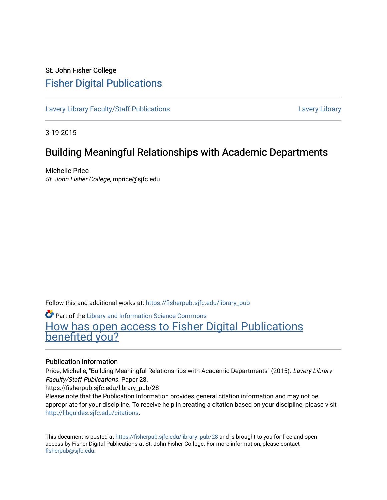# St. John Fisher College [Fisher Digital Publications](https://fisherpub.sjfc.edu/)

[Lavery Library Faculty/Staff Publications](https://fisherpub.sjfc.edu/library_pub) **Latter Controllery Library Library** Lavery Library

3-19-2015

# Building Meaningful Relationships with Academic Departments

Michelle Price St. John Fisher College, mprice@sjfc.edu

Follow this and additional works at: [https://fisherpub.sjfc.edu/library\\_pub](https://fisherpub.sjfc.edu/library_pub?utm_source=fisherpub.sjfc.edu%2Flibrary_pub%2F28&utm_medium=PDF&utm_campaign=PDFCoverPages)

Part of the [Library and Information Science Commons](http://network.bepress.com/hgg/discipline/1018?utm_source=fisherpub.sjfc.edu%2Flibrary_pub%2F28&utm_medium=PDF&utm_campaign=PDFCoverPages)  [How has open access to Fisher Digital Publications](https://docs.google.com/forms/d/14zrnDfH9d1wcdq8oG_-gFabAsxfcH5claltx85ZWyTg/viewform?entry.1394608989=https://fisherpub.sjfc.edu/library_pub/28%3Chttps://docs.google.com/forms/d/14zrnDfH9d1wcdq8oG_-gFabAsxfcH5claltx85ZWyTg/viewform?entry.1394608989=%7bhttps://fisherpub.sjfc.edu/library_pub/28%7d) [benefited you?](https://docs.google.com/forms/d/14zrnDfH9d1wcdq8oG_-gFabAsxfcH5claltx85ZWyTg/viewform?entry.1394608989=https://fisherpub.sjfc.edu/library_pub/28%3Chttps://docs.google.com/forms/d/14zrnDfH9d1wcdq8oG_-gFabAsxfcH5claltx85ZWyTg/viewform?entry.1394608989=%7bhttps://fisherpub.sjfc.edu/library_pub/28%7d)

## Publication Information

Price, Michelle, "Building Meaningful Relationships with Academic Departments" (2015). Lavery Library Faculty/Staff Publications. Paper 28.

https://fisherpub.sjfc.edu/library\_pub/28

Please note that the Publication Information provides general citation information and may not be appropriate for your discipline. To receive help in creating a citation based on your discipline, please visit [http://libguides.sjfc.edu/citations.](http://libguides.sjfc.edu/citations)

This document is posted at [https://fisherpub.sjfc.edu/library\\_pub/28](https://fisherpub.sjfc.edu/library_pub/28) and is brought to you for free and open access by Fisher Digital Publications at St. John Fisher College. For more information, please contact [fisherpub@sjfc.edu](mailto:fisherpub@sjfc.edu).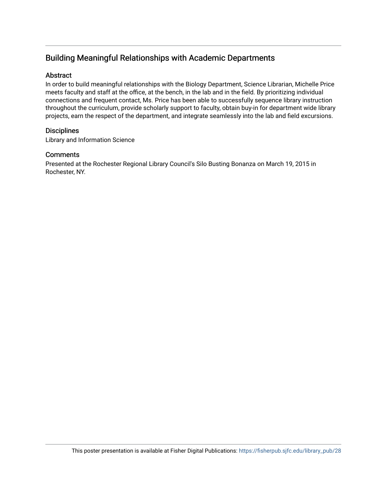# Building Meaningful Relationships with Academic Departments

## Abstract

In order to build meaningful relationships with the Biology Department, Science Librarian, Michelle Price meets faculty and staff at the office, at the bench, in the lab and in the field. By prioritizing individual connections and frequent contact, Ms. Price has been able to successfully sequence library instruction throughout the curriculum, provide scholarly support to faculty, obtain buy-in for department wide library projects, earn the respect of the department, and integrate seamlessly into the lab and field excursions.

## **Disciplines**

Library and Information Science

## **Comments**

Presented at the Rochester Regional Library Council's Silo Busting Bonanza on March 19, 2015 in Rochester, NY.